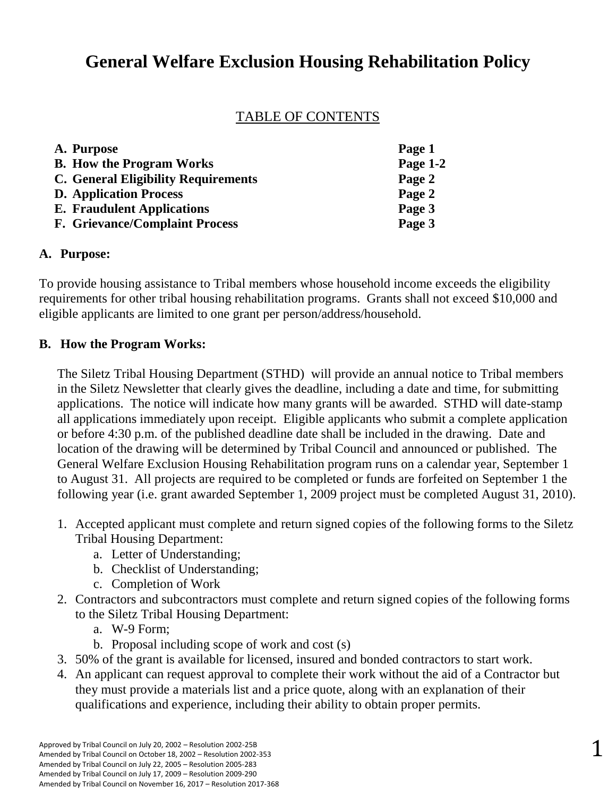# **General Welfare Exclusion Housing Rehabilitation Policy**

# TABLE OF CONTENTS

| A. Purpose                                 | Page 1   |
|--------------------------------------------|----------|
| <b>B.</b> How the Program Works            | Page 1-2 |
| <b>C. General Eligibility Requirements</b> | Page 2   |
| <b>D.</b> Application Process              | Page 2   |
| <b>E.</b> Fraudulent Applications          | Page 3   |
| <b>F. Grievance/Complaint Process</b>      | Page 3   |

# **A. Purpose:**

To provide housing assistance to Tribal members whose household income exceeds the eligibility requirements for other tribal housing rehabilitation programs. Grants shall not exceed \$10,000 and eligible applicants are limited to one grant per person/address/household.

# **B. How the Program Works:**

The Siletz Tribal Housing Department (STHD) will provide an annual notice to Tribal members in the Siletz Newsletter that clearly gives the deadline, including a date and time, for submitting applications. The notice will indicate how many grants will be awarded. STHD will date-stamp all applications immediately upon receipt. Eligible applicants who submit a complete application or before 4:30 p.m. of the published deadline date shall be included in the drawing. Date and location of the drawing will be determined by Tribal Council and announced or published. The General Welfare Exclusion Housing Rehabilitation program runs on a calendar year, September 1 to August 31. All projects are required to be completed or funds are forfeited on September 1 the following year (i.e. grant awarded September 1, 2009 project must be completed August 31, 2010).

- 1. Accepted applicant must complete and return signed copies of the following forms to the Siletz Tribal Housing Department:
	- a. Letter of Understanding;
	- b. Checklist of Understanding;
	- c. Completion of Work
- 2. Contractors and subcontractors must complete and return signed copies of the following forms to the Siletz Tribal Housing Department:
	- a. W-9 Form;
	- b. Proposal including scope of work and cost (s)
- 3. 50% of the grant is available for licensed, insured and bonded contractors to start work.
- 4. An applicant can request approval to complete their work without the aid of a Contractor but they must provide a materials list and a price quote, along with an explanation of their qualifications and experience, including their ability to obtain proper permits.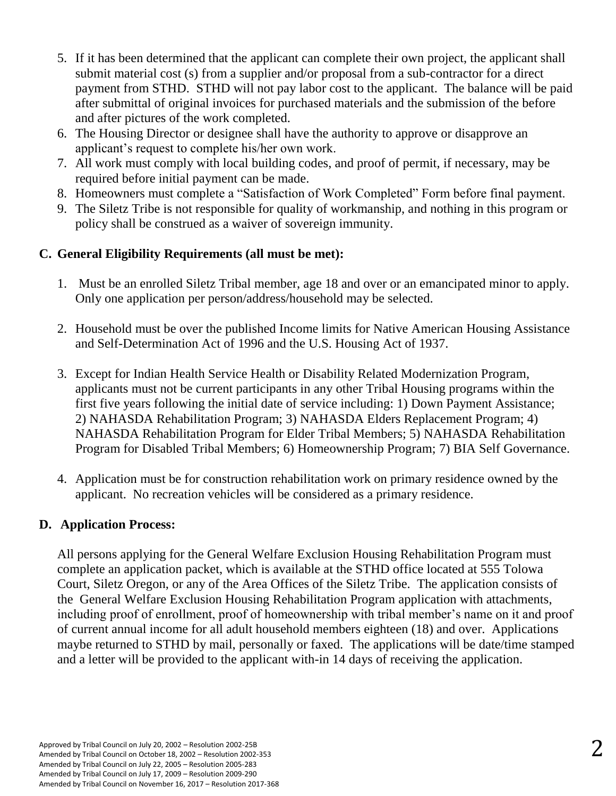- 5. If it has been determined that the applicant can complete their own project, the applicant shall submit material cost (s) from a supplier and/or proposal from a sub-contractor for a direct payment from STHD. STHD will not pay labor cost to the applicant. The balance will be paid after submittal of original invoices for purchased materials and the submission of the before and after pictures of the work completed.
- 6. The Housing Director or designee shall have the authority to approve or disapprove an applicant's request to complete his/her own work.
- 7. All work must comply with local building codes, and proof of permit, if necessary, may be required before initial payment can be made.
- 8. Homeowners must complete a "Satisfaction of Work Completed" Form before final payment.
- 9. The Siletz Tribe is not responsible for quality of workmanship, and nothing in this program or policy shall be construed as a waiver of sovereign immunity.

#### **C. General Eligibility Requirements (all must be met):**

- 1. Must be an enrolled Siletz Tribal member, age 18 and over or an emancipated minor to apply. Only one application per person/address/household may be selected.
- 2. Household must be over the published Income limits for Native American Housing Assistance and Self-Determination Act of 1996 and the U.S. Housing Act of 1937.
- 3. Except for Indian Health Service Health or Disability Related Modernization Program, applicants must not be current participants in any other Tribal Housing programs within the first five years following the initial date of service including: 1) Down Payment Assistance; 2) NAHASDA Rehabilitation Program; 3) NAHASDA Elders Replacement Program; 4) NAHASDA Rehabilitation Program for Elder Tribal Members; 5) NAHASDA Rehabilitation Program for Disabled Tribal Members; 6) Homeownership Program; 7) BIA Self Governance.
- 4. Application must be for construction rehabilitation work on primary residence owned by the applicant. No recreation vehicles will be considered as a primary residence.

# **D. Application Process:**

All persons applying for the General Welfare Exclusion Housing Rehabilitation Program must complete an application packet, which is available at the STHD office located at 555 Tolowa Court, Siletz Oregon, or any of the Area Offices of the Siletz Tribe. The application consists of the General Welfare Exclusion Housing Rehabilitation Program application with attachments, including proof of enrollment, proof of homeownership with tribal member's name on it and proof of current annual income for all adult household members eighteen (18) and over. Applications maybe returned to STHD by mail, personally or faxed. The applications will be date/time stamped and a letter will be provided to the applicant with-in 14 days of receiving the application.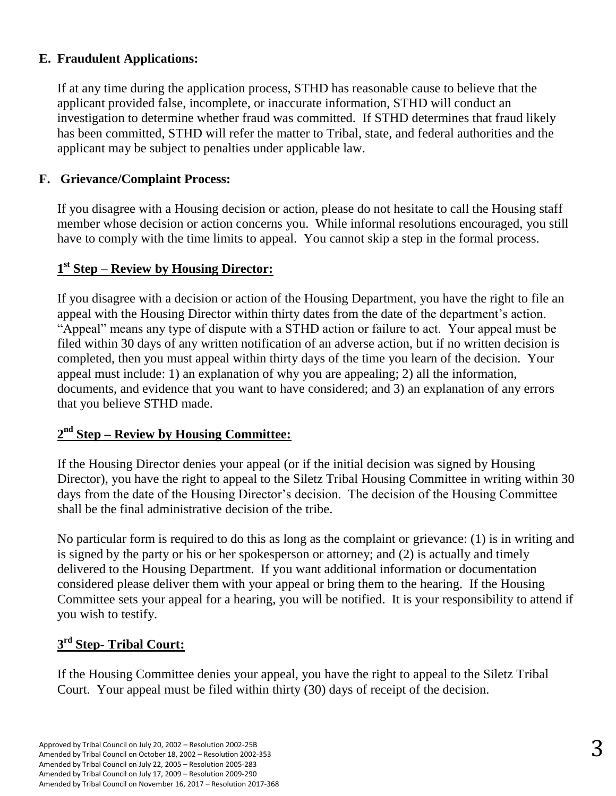#### **E. Fraudulent Applications:**

If at any time during the application process, STHD has reasonable cause to believe that the applicant provided false, incomplete, or inaccurate information, STHD will conduct an investigation to determine whether fraud was committed. If STHD determines that fraud likely has been committed, STHD will refer the matter to Tribal, state, and federal authorities and the applicant may be subject to penalties under applicable law.

#### **F. Grievance/Complaint Process:**

If you disagree with a Housing decision or action, please do not hesitate to call the Housing staff member whose decision or action concerns you. While informal resolutions encouraged, you still have to comply with the time limits to appeal. You cannot skip a step in the formal process.

# **1 st Step – Review by Housing Director:**

If you disagree with a decision or action of the Housing Department, you have the right to file an appeal with the Housing Director within thirty dates from the date of the department's action. "Appeal" means any type of dispute with a STHD action or failure to act. Your appeal must be filed within 30 days of any written notification of an adverse action, but if no written decision is completed, then you must appeal within thirty days of the time you learn of the decision. Your appeal must include: 1) an explanation of why you are appealing; 2) all the information, documents, and evidence that you want to have considered; and 3) an explanation of any errors that you believe STHD made.

# **2 nd Step – Review by Housing Committee:**

If the Housing Director denies your appeal (or if the initial decision was signed by Housing Director), you have the right to appeal to the Siletz Tribal Housing Committee in writing within 30 days from the date of the Housing Director's decision. The decision of the Housing Committee shall be the final administrative decision of the tribe.

No particular form is required to do this as long as the complaint or grievance: (1) is in writing and is signed by the party or his or her spokesperson or attorney; and (2) is actually and timely delivered to the Housing Department. If you want additional information or documentation considered please deliver them with your appeal or bring them to the hearing. If the Housing Committee sets your appeal for a hearing, you will be notified. It is your responsibility to attend if you wish to testify.

# **3 rd Step- Tribal Court:**

If the Housing Committee denies your appeal, you have the right to appeal to the Siletz Tribal Court. Your appeal must be filed within thirty (30) days of receipt of the decision.